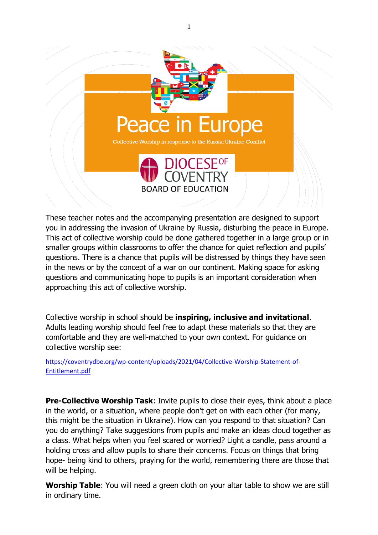

These teacher notes and the accompanying presentation are designed to support you in addressing the invasion of Ukraine by Russia, disturbing the peace in Europe. This act of collective worship could be done gathered together in a large group or in smaller groups within classrooms to offer the chance for quiet reflection and pupils' questions. There is a chance that pupils will be distressed by things they have seen in the news or by the concept of a war on our continent. Making space for asking questions and communicating hope to pupils is an important consideration when approaching this act of collective worship.

Collective worship in school should be **inspiring, inclusive and invitational**. Adults leading worship should feel free to adapt these materials so that they are comfortable and they are well-matched to your own context. For guidance on collective worship see:

[https://coventrydbe.org/wp-content/uploads/2021/04/Collective-Worship-Statement-of-](https://coventrydbe.org/wp-content/uploads/2021/04/Collective-Worship-Statement-of-Entitlement.pdf)[Entitlement.pdf](https://coventrydbe.org/wp-content/uploads/2021/04/Collective-Worship-Statement-of-Entitlement.pdf)

**Pre-Collective Worship Task**: Invite pupils to close their eyes, think about a place in the world, or a situation, where people don't get on with each other (for many, this might be the situation in Ukraine). How can you respond to that situation? Can you do anything? Take suggestions from pupils and make an ideas cloud together as a class. What helps when you feel scared or worried? Light a candle, pass around a holding cross and allow pupils to share their concerns. Focus on things that bring hope- being kind to others, praying for the world, remembering there are those that will be helping.

**Worship Table**: You will need a green cloth on your altar table to show we are still in ordinary time.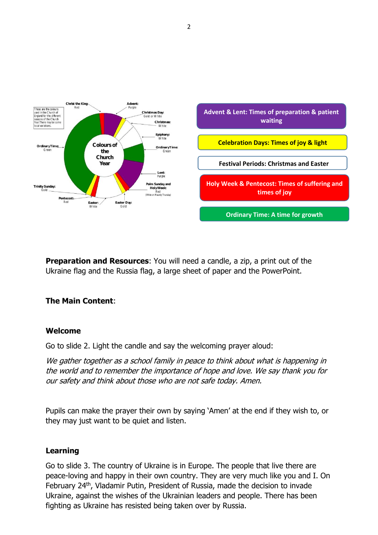

**Preparation and Resources:** You will need a candle, a zip, a print out of the Ukraine flag and the Russia flag, a large sheet of paper and the PowerPoint.

#### **The Main Content**:

#### **Welcome**

Go to slide 2. Light the candle and say the welcoming prayer aloud:

We gather together as a school family in peace to think about what is happening in the world and to remember the importance of hope and love. We say thank you for our safety and think about those who are not safe today. Amen.

Pupils can make the prayer their own by saying 'Amen' at the end if they wish to, or they may just want to be quiet and listen.

#### **Learning**

Go to slide 3. The country of Ukraine is in Europe. The people that live there are peace-loving and happy in their own country. They are very much like you and I. On February 24<sup>th</sup>, Vladamir Putin, President of Russia, made the decision to invade Ukraine, against the wishes of the Ukrainian leaders and people. There has been fighting as Ukraine has resisted being taken over by Russia.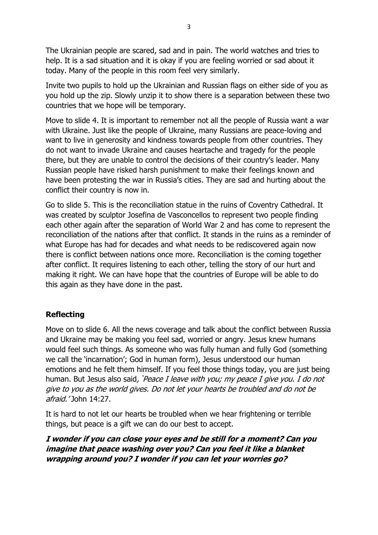The Ukrainian people are scared, sad and in pain. The world watches and tries to help. It is a sad situation and it is okay if you are feeling worried or sad about it today. Many of the people in this room feel very similarly.

Invite two pupils to hold up the Ukrainian and Russian flags on either side of you as you hold up the zip. Slowly unzip it to show there is a separation between these two countries that we hope will be temporary.

Move to slide 4. It is important to remember not all the people of Russia want a war with Ukraine. Just like the people of Ukraine, many Russians are peace-loving and want to live in generosity and kindness towards people from other countries. They do not want to invade Ukraine and causes heartache and tragedy for the people there, but they are unable to control the decisions of their country's leader. Many Russian people have risked harsh punishment to make their feelings known and have been protesting the war in Russia's cities. They are sad and hurting about the conflict their country is now in.

Go to slide 5. This is the reconciliation statue in the ruins of Coventry Cathedral. It was created by sculptor Josefina de Vasconcellos to represent two people finding each other again after the separation of World War 2 and has come to represent the reconciliation of the nations after that conflict. It stands in the ruins as a reminder of what Europe has had for decades and what needs to be rediscovered again now there is conflict between nations once more. Reconciliation is the coming together after conflict. It requires listening to each other, telling the story of our hurt and making it right. We can have hope that the countries of Europe will be able to do this again as they have done in the past.

# **Reflecting**

Move on to slide 6. All the news coverage and talk about the conflict between Russia and Ukraine may be making you feel sad, worried or angry. Jesus knew humans would feel such things. As someone who was fully human and fully God (something we call the 'incarnation'; God in human form), Jesus understood our human emotions and he felt them himself. If you feel those things today, you are just being human. But Jesus also said, **'**Peace I leave with you; my peace I give you. I do not give to you as the world gives. Do not let your hearts be troubled and do not be afraid.' John 14:27.

It is hard to not let our hearts be troubled when we hear frightening or terrible things, but peace is a gift we can do our best to accept.

**I wonder if you can close your eyes and be still for a moment? Can you imagine that peace washing over you? Can you feel it like a blanket wrapping around you? I wonder if you can let your worries go?**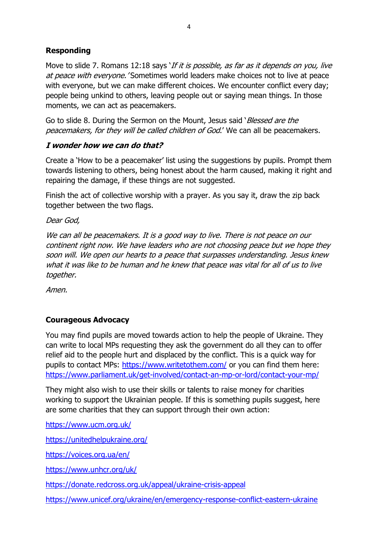# **Responding**

Move to slide 7. Romans 12:18 says 'If it is possible, as far as it depends on you, live at peace with everyone. 'Sometimes world leaders make choices not to live at peace with everyone, but we can make different choices. We encounter conflict every day; people being unkind to others, leaving people out or saying mean things. In those moments, we can act as peacemakers.

Go to slide 8. During the Sermon on the Mount, Jesus said '*Blessed are the* peacemakers, for they will be called children of God.' We can all be peacemakers.

### **I wonder how we can do that?**

Create a 'How to be a peacemaker' list using the suggestions by pupils. Prompt them towards listening to others, being honest about the harm caused, making it right and repairing the damage, if these things are not suggested.

Finish the act of collective worship with a prayer. As you say it, draw the zip back together between the two flags.

Dear God,

We can all be peacemakers. It is a good way to live. There is not peace on our continent right now. We have leaders who are not choosing peace but we hope they soon will. We open our hearts to a peace that surpasses understanding. Jesus knew what it was like to be human and he knew that peace was vital for all of us to live together.

Amen.

# **Courageous Advocacy**

You may find pupils are moved towards action to help the people of Ukraine. They can write to local MPs requesting they ask the government do all they can to offer relief aid to the people hurt and displaced by the conflict. This is a quick way for pupils to contact MPs:<https://www.writetothem.com/> or you can find them here: <https://www.parliament.uk/get-involved/contact-an-mp-or-lord/contact-your-mp/>

They might also wish to use their skills or talents to raise money for charities working to support the Ukrainian people. If this is something pupils suggest, here are some charities that they can support through their own action:

<https://www.ucm.org.uk/>

<https://unitedhelpukraine.org/>

<https://voices.org.ua/en/>

<https://www.unhcr.org/uk/>

<https://donate.redcross.org.uk/appeal/ukraine-crisis-appeal>

<https://www.unicef.org/ukraine/en/emergency-response-conflict-eastern-ukraine>